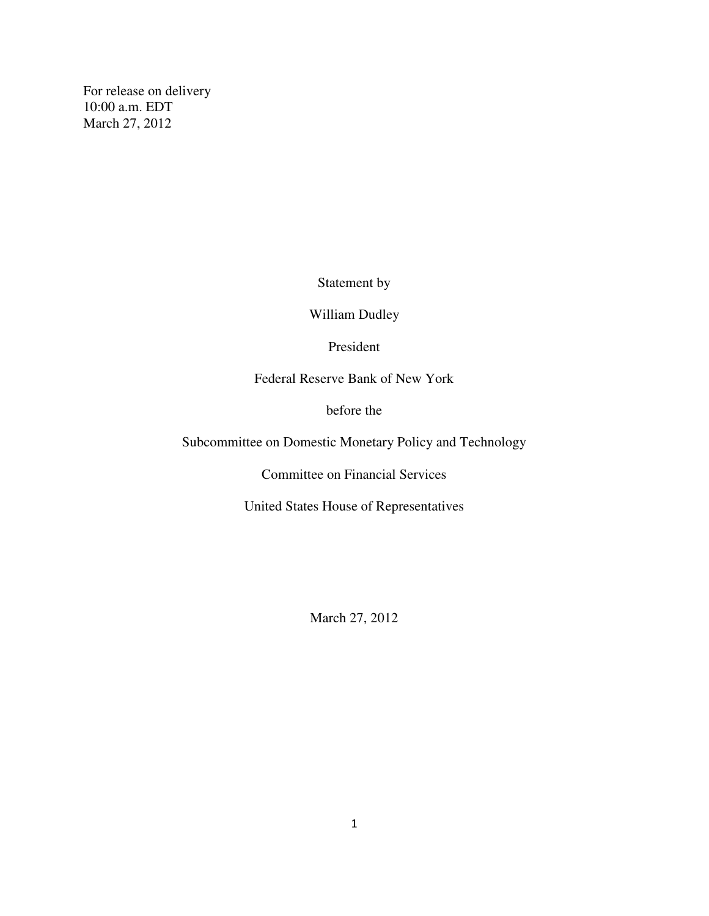For release on delivery 10:00 a.m. EDT March 27, 2012

Statement by

William Dudley

President

Federal Reserve Bank of New York

before the

Subcommittee on Domestic Monetary Policy and Technology

Committee on Financial Services

United States House of Representatives

March 27, 2012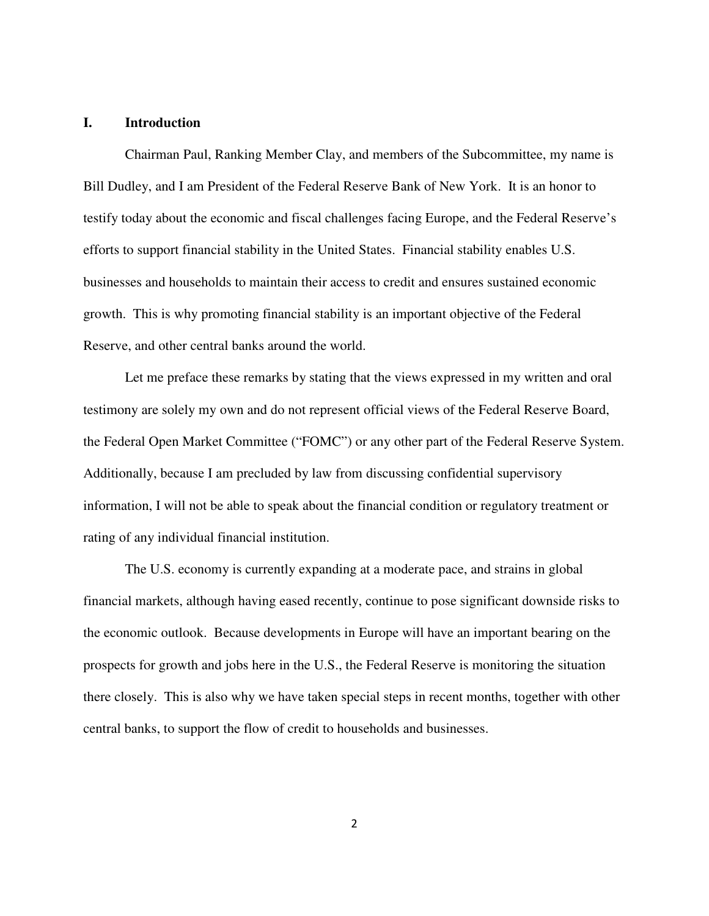## **I. Introduction**

Chairman Paul, Ranking Member Clay, and members of the Subcommittee, my name is Bill Dudley, and I am President of the Federal Reserve Bank of New York. It is an honor to testify today about the economic and fiscal challenges facing Europe, and the Federal Reserve's efforts to support financial stability in the United States. Financial stability enables U.S. businesses and households to maintain their access to credit and ensures sustained economic growth. This is why promoting financial stability is an important objective of the Federal Reserve, and other central banks around the world.

Let me preface these remarks by stating that the views expressed in my written and oral testimony are solely my own and do not represent official views of the Federal Reserve Board, the Federal Open Market Committee ("FOMC") or any other part of the Federal Reserve System. Additionally, because I am precluded by law from discussing confidential supervisory information, I will not be able to speak about the financial condition or regulatory treatment or rating of any individual financial institution.

The U.S. economy is currently expanding at a moderate pace, and strains in global financial markets, although having eased recently, continue to pose significant downside risks to the economic outlook. Because developments in Europe will have an important bearing on the prospects for growth and jobs here in the U.S., the Federal Reserve is monitoring the situation there closely. This is also why we have taken special steps in recent months, together with other central banks, to support the flow of credit to households and businesses.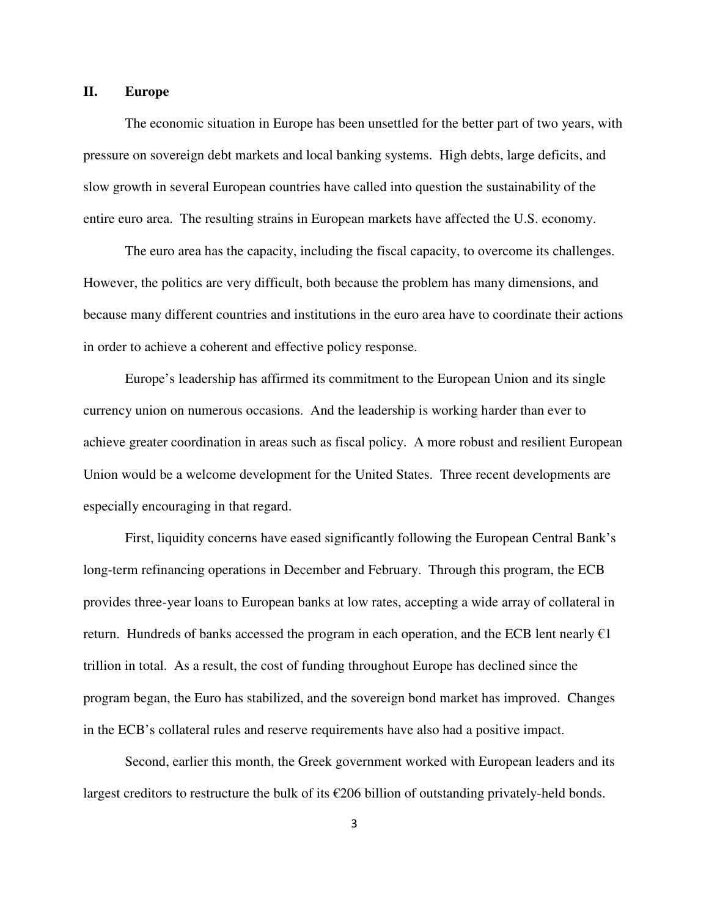## **II. Europe**

The economic situation in Europe has been unsettled for the better part of two years, with pressure on sovereign debt markets and local banking systems. High debts, large deficits, and slow growth in several European countries have called into question the sustainability of the entire euro area. The resulting strains in European markets have affected the U.S. economy.

The euro area has the capacity, including the fiscal capacity, to overcome its challenges. However, the politics are very difficult, both because the problem has many dimensions, and because many different countries and institutions in the euro area have to coordinate their actions in order to achieve a coherent and effective policy response.

Europe's leadership has affirmed its commitment to the European Union and its single currency union on numerous occasions. And the leadership is working harder than ever to achieve greater coordination in areas such as fiscal policy. A more robust and resilient European Union would be a welcome development for the United States. Three recent developments are especially encouraging in that regard.

First, liquidity concerns have eased significantly following the European Central Bank's long-term refinancing operations in December and February. Through this program, the ECB provides three-year loans to European banks at low rates, accepting a wide array of collateral in return. Hundreds of banks accessed the program in each operation, and the ECB lent nearly  $\epsilon$ 1 trillion in total. As a result, the cost of funding throughout Europe has declined since the program began, the Euro has stabilized, and the sovereign bond market has improved. Changes in the ECB's collateral rules and reserve requirements have also had a positive impact.

Second, earlier this month, the Greek government worked with European leaders and its largest creditors to restructure the bulk of its  $\epsilon$ 206 billion of outstanding privately-held bonds.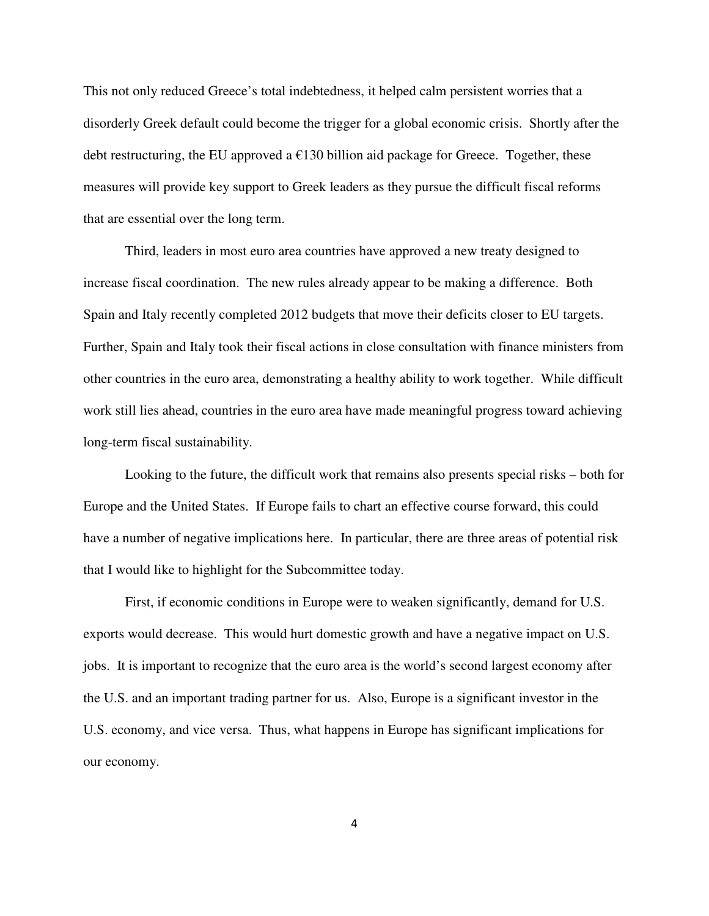This not only reduced Greece's total indebtedness, it helped calm persistent worries that a disorderly Greek default could become the trigger for a global economic crisis. Shortly after the debt restructuring, the EU approved a  $\epsilon$ 130 billion aid package for Greece. Together, these measures will provide key support to Greek leaders as they pursue the difficult fiscal reforms that are essential over the long term.

Third, leaders in most euro area countries have approved a new treaty designed to increase fiscal coordination. The new rules already appear to be making a difference. Both Spain and Italy recently completed 2012 budgets that move their deficits closer to EU targets. Further, Spain and Italy took their fiscal actions in close consultation with finance ministers from other countries in the euro area, demonstrating a healthy ability to work together. While difficult work still lies ahead, countries in the euro area have made meaningful progress toward achieving long-term fiscal sustainability.

Looking to the future, the difficult work that remains also presents special risks – both for Europe and the United States. If Europe fails to chart an effective course forward, this could have a number of negative implications here. In particular, there are three areas of potential risk that I would like to highlight for the Subcommittee today.

First, if economic conditions in Europe were to weaken significantly, demand for U.S. exports would decrease. This would hurt domestic growth and have a negative impact on U.S. jobs. It is important to recognize that the euro area is the world's second largest economy after the U.S. and an important trading partner for us. Also, Europe is a significant investor in the U.S. economy, and vice versa. Thus, what happens in Europe has significant implications for our economy.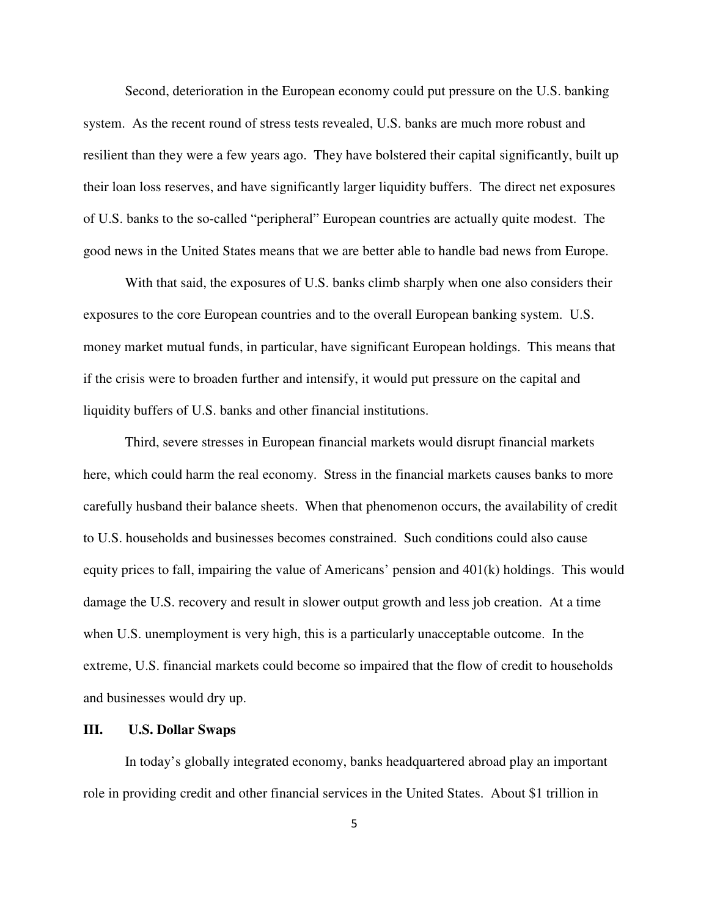Second, deterioration in the European economy could put pressure on the U.S. banking system. As the recent round of stress tests revealed, U.S. banks are much more robust and resilient than they were a few years ago. They have bolstered their capital significantly, built up their loan loss reserves, and have significantly larger liquidity buffers. The direct net exposures of U.S. banks to the so-called "peripheral" European countries are actually quite modest. The good news in the United States means that we are better able to handle bad news from Europe.

With that said, the exposures of U.S. banks climb sharply when one also considers their exposures to the core European countries and to the overall European banking system. U.S. money market mutual funds, in particular, have significant European holdings. This means that if the crisis were to broaden further and intensify, it would put pressure on the capital and liquidity buffers of U.S. banks and other financial institutions.

Third, severe stresses in European financial markets would disrupt financial markets here, which could harm the real economy. Stress in the financial markets causes banks to more carefully husband their balance sheets. When that phenomenon occurs, the availability of credit to U.S. households and businesses becomes constrained. Such conditions could also cause equity prices to fall, impairing the value of Americans' pension and 401(k) holdings. This would damage the U.S. recovery and result in slower output growth and less job creation. At a time when U.S. unemployment is very high, this is a particularly unacceptable outcome. In the extreme, U.S. financial markets could become so impaired that the flow of credit to households and businesses would dry up.

## **III. U.S. Dollar Swaps**

In today's globally integrated economy, banks headquartered abroad play an important role in providing credit and other financial services in the United States. About \$1 trillion in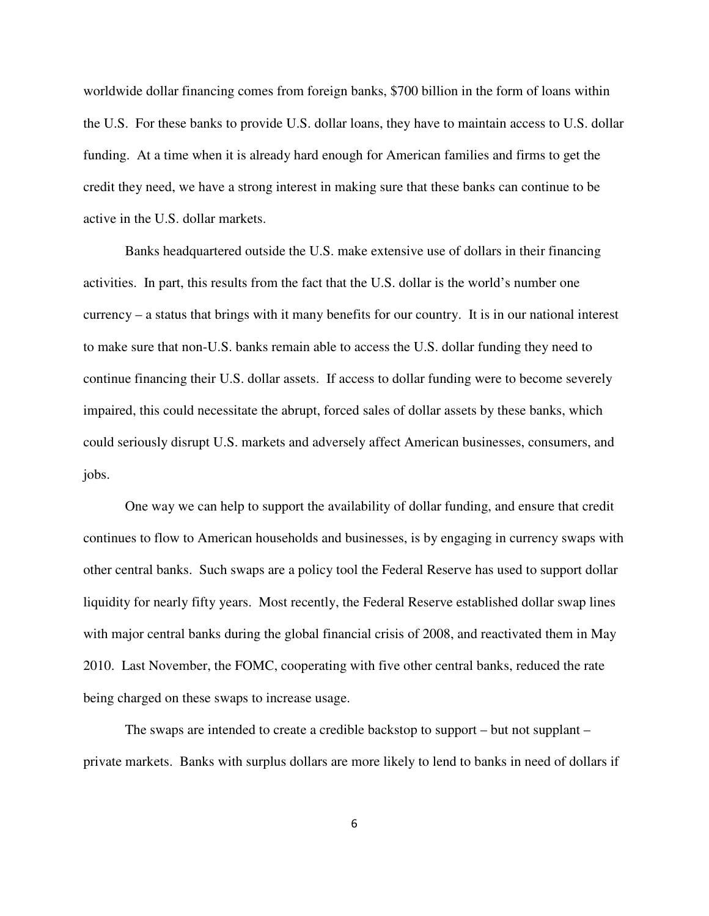worldwide dollar financing comes from foreign banks, \$700 billion in the form of loans within the U.S. For these banks to provide U.S. dollar loans, they have to maintain access to U.S. dollar funding. At a time when it is already hard enough for American families and firms to get the credit they need, we have a strong interest in making sure that these banks can continue to be active in the U.S. dollar markets.

Banks headquartered outside the U.S. make extensive use of dollars in their financing activities. In part, this results from the fact that the U.S. dollar is the world's number one currency – a status that brings with it many benefits for our country. It is in our national interest to make sure that non-U.S. banks remain able to access the U.S. dollar funding they need to continue financing their U.S. dollar assets. If access to dollar funding were to become severely impaired, this could necessitate the abrupt, forced sales of dollar assets by these banks, which could seriously disrupt U.S. markets and adversely affect American businesses, consumers, and jobs.

One way we can help to support the availability of dollar funding, and ensure that credit continues to flow to American households and businesses, is by engaging in currency swaps with other central banks. Such swaps are a policy tool the Federal Reserve has used to support dollar liquidity for nearly fifty years. Most recently, the Federal Reserve established dollar swap lines with major central banks during the global financial crisis of 2008, and reactivated them in May 2010. Last November, the FOMC, cooperating with five other central banks, reduced the rate being charged on these swaps to increase usage.

The swaps are intended to create a credible backstop to support – but not supplant – private markets. Banks with surplus dollars are more likely to lend to banks in need of dollars if